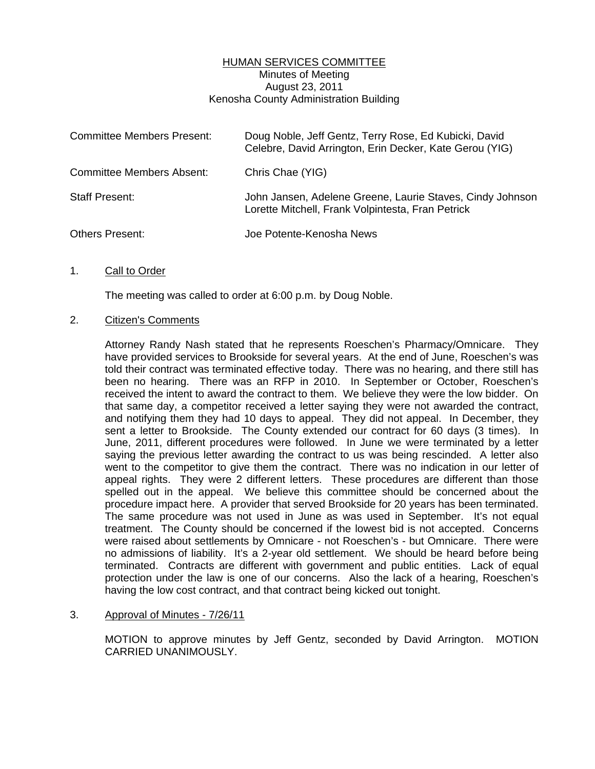## HUMAN SERVICES COMMITTEE Minutes of Meeting August 23, 2011 Kenosha County Administration Building

| <b>Committee Members Present:</b> | Doug Noble, Jeff Gentz, Terry Rose, Ed Kubicki, David<br>Celebre, David Arrington, Erin Decker, Kate Gerou (YIG) |
|-----------------------------------|------------------------------------------------------------------------------------------------------------------|
| Committee Members Absent:         | Chris Chae (YIG)                                                                                                 |
| <b>Staff Present:</b>             | John Jansen, Adelene Greene, Laurie Staves, Cindy Johnson<br>Lorette Mitchell, Frank Volpintesta, Fran Petrick   |
| <b>Others Present:</b>            | Joe Potente-Kenosha News                                                                                         |

#### 1. Call to Order

The meeting was called to order at 6:00 p.m. by Doug Noble.

#### 2. Citizen's Comments

 Attorney Randy Nash stated that he represents Roeschen's Pharmacy/Omnicare. They have provided services to Brookside for several years. At the end of June, Roeschen's was told their contract was terminated effective today. There was no hearing, and there still has been no hearing. There was an RFP in 2010. In September or October, Roeschen's received the intent to award the contract to them. We believe they were the low bidder. On that same day, a competitor received a letter saying they were not awarded the contract, and notifying them they had 10 days to appeal. They did not appeal. In December, they sent a letter to Brookside. The County extended our contract for 60 days (3 times). In June, 2011, different procedures were followed. In June we were terminated by a letter saying the previous letter awarding the contract to us was being rescinded. A letter also went to the competitor to give them the contract. There was no indication in our letter of appeal rights. They were 2 different letters. These procedures are different than those spelled out in the appeal. We believe this committee should be concerned about the procedure impact here. A provider that served Brookside for 20 years has been terminated. The same procedure was not used in June as was used in September. It's not equal treatment. The County should be concerned if the lowest bid is not accepted. Concerns were raised about settlements by Omnicare - not Roeschen's - but Omnicare. There were no admissions of liability. It's a 2-year old settlement. We should be heard before being terminated. Contracts are different with government and public entities. Lack of equal protection under the law is one of our concerns. Also the lack of a hearing, Roeschen's having the low cost contract, and that contract being kicked out tonight.

# 3. Approval of Minutes - 7/26/11

 MOTION to approve minutes by Jeff Gentz, seconded by David Arrington. MOTION CARRIED UNANIMOUSLY.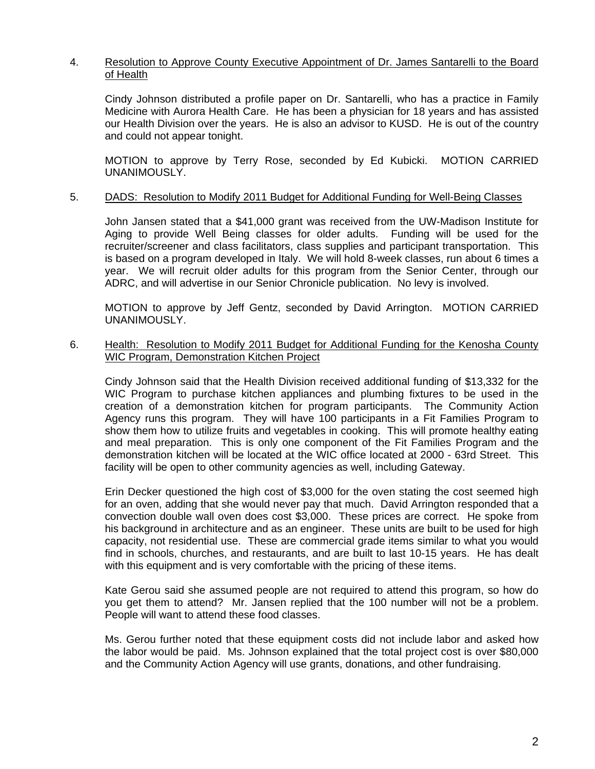## 4. Resolution to Approve County Executive Appointment of Dr. James Santarelli to the Board of Health

 Cindy Johnson distributed a profile paper on Dr. Santarelli, who has a practice in Family Medicine with Aurora Health Care. He has been a physician for 18 years and has assisted our Health Division over the years. He is also an advisor to KUSD. He is out of the country and could not appear tonight.

 MOTION to approve by Terry Rose, seconded by Ed Kubicki. MOTION CARRIED UNANIMOUSLY.

#### 5. DADS: Resolution to Modify 2011 Budget for Additional Funding for Well-Being Classes

 John Jansen stated that a \$41,000 grant was received from the UW-Madison Institute for Aging to provide Well Being classes for older adults. Funding will be used for the recruiter/screener and class facilitators, class supplies and participant transportation. This is based on a program developed in Italy. We will hold 8-week classes, run about 6 times a year. We will recruit older adults for this program from the Senior Center, through our ADRC, and will advertise in our Senior Chronicle publication. No levy is involved.

 MOTION to approve by Jeff Gentz, seconded by David Arrington. MOTION CARRIED UNANIMOUSLY.

### 6. Health: Resolution to Modify 2011 Budget for Additional Funding for the Kenosha County WIC Program, Demonstration Kitchen Project

 Cindy Johnson said that the Health Division received additional funding of \$13,332 for the WIC Program to purchase kitchen appliances and plumbing fixtures to be used in the creation of a demonstration kitchen for program participants. The Community Action Agency runs this program. They will have 100 participants in a Fit Families Program to show them how to utilize fruits and vegetables in cooking. This will promote healthy eating and meal preparation. This is only one component of the Fit Families Program and the demonstration kitchen will be located at the WIC office located at 2000 - 63rd Street. This facility will be open to other community agencies as well, including Gateway.

 Erin Decker questioned the high cost of \$3,000 for the oven stating the cost seemed high for an oven, adding that she would never pay that much. David Arrington responded that a convection double wall oven does cost \$3,000. These prices are correct. He spoke from his background in architecture and as an engineer. These units are built to be used for high capacity, not residential use. These are commercial grade items similar to what you would find in schools, churches, and restaurants, and are built to last 10-15 years. He has dealt with this equipment and is very comfortable with the pricing of these items.

 Kate Gerou said she assumed people are not required to attend this program, so how do you get them to attend? Mr. Jansen replied that the 100 number will not be a problem. People will want to attend these food classes.

 Ms. Gerou further noted that these equipment costs did not include labor and asked how the labor would be paid. Ms. Johnson explained that the total project cost is over \$80,000 and the Community Action Agency will use grants, donations, and other fundraising.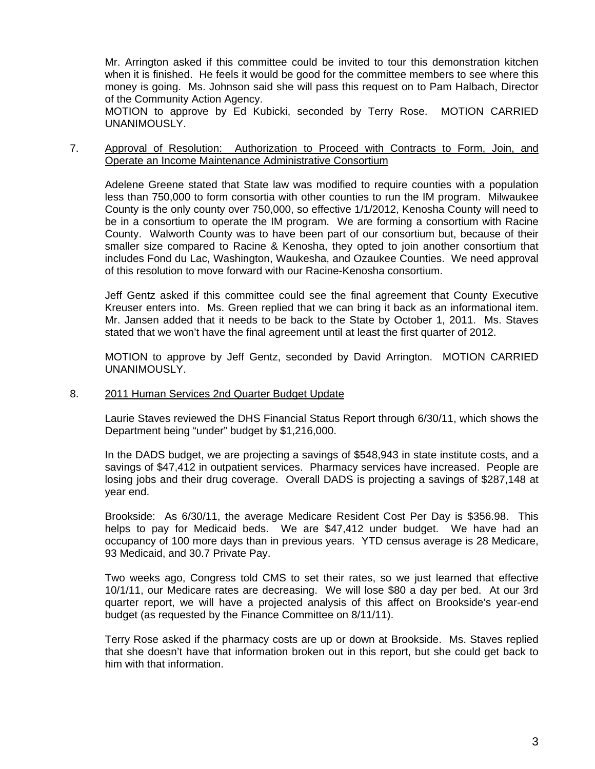Mr. Arrington asked if this committee could be invited to tour this demonstration kitchen when it is finished. He feels it would be good for the committee members to see where this money is going. Ms. Johnson said she will pass this request on to Pam Halbach, Director of the Community Action Agency.

 MOTION to approve by Ed Kubicki, seconded by Terry Rose. MOTION CARRIED UNANIMOUSLY.

7. Approval of Resolution: Authorization to Proceed with Contracts to Form, Join, and Operate an Income Maintenance Administrative Consortium

 Adelene Greene stated that State law was modified to require counties with a population less than 750,000 to form consortia with other counties to run the IM program. Milwaukee County is the only county over 750,000, so effective 1/1/2012, Kenosha County will need to be in a consortium to operate the IM program. We are forming a consortium with Racine County. Walworth County was to have been part of our consortium but, because of their smaller size compared to Racine & Kenosha, they opted to join another consortium that includes Fond du Lac, Washington, Waukesha, and Ozaukee Counties. We need approval of this resolution to move forward with our Racine-Kenosha consortium.

 Jeff Gentz asked if this committee could see the final agreement that County Executive Kreuser enters into. Ms. Green replied that we can bring it back as an informational item. Mr. Jansen added that it needs to be back to the State by October 1, 2011. Ms. Staves stated that we won't have the final agreement until at least the first quarter of 2012.

 MOTION to approve by Jeff Gentz, seconded by David Arrington. MOTION CARRIED UNANIMOUSLY.

#### 8. 2011 Human Services 2nd Quarter Budget Update

 Laurie Staves reviewed the DHS Financial Status Report through 6/30/11, which shows the Department being "under" budget by \$1,216,000.

 In the DADS budget, we are projecting a savings of \$548,943 in state institute costs, and a savings of \$47,412 in outpatient services. Pharmacy services have increased. People are losing jobs and their drug coverage. Overall DADS is projecting a savings of \$287,148 at year end.

 Brookside: As 6/30/11, the average Medicare Resident Cost Per Day is \$356.98. This helps to pay for Medicaid beds. We are \$47,412 under budget. We have had an occupancy of 100 more days than in previous years. YTD census average is 28 Medicare, 93 Medicaid, and 30.7 Private Pay.

 Two weeks ago, Congress told CMS to set their rates, so we just learned that effective 10/1/11, our Medicare rates are decreasing. We will lose \$80 a day per bed. At our 3rd quarter report, we will have a projected analysis of this affect on Brookside's year-end budget (as requested by the Finance Committee on 8/11/11).

 Terry Rose asked if the pharmacy costs are up or down at Brookside. Ms. Staves replied that she doesn't have that information broken out in this report, but she could get back to him with that information.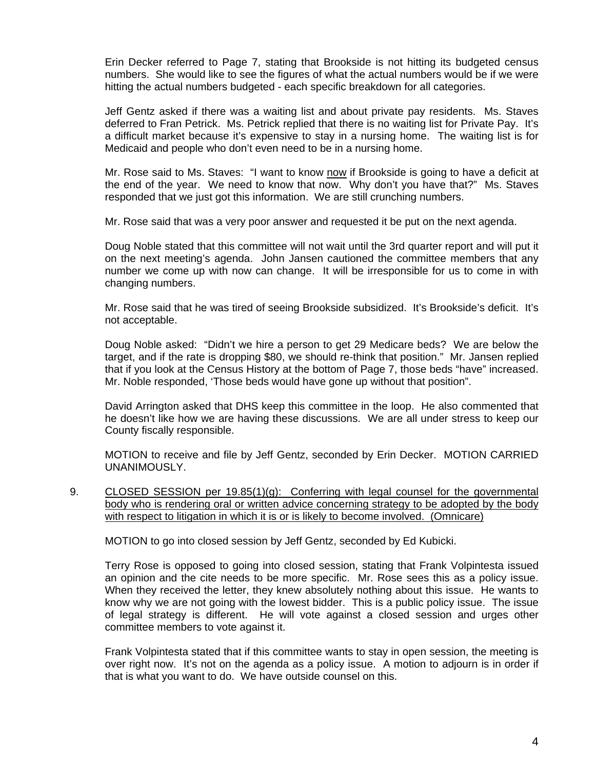Erin Decker referred to Page 7, stating that Brookside is not hitting its budgeted census numbers. She would like to see the figures of what the actual numbers would be if we were hitting the actual numbers budgeted - each specific breakdown for all categories.

 Jeff Gentz asked if there was a waiting list and about private pay residents. Ms. Staves deferred to Fran Petrick. Ms. Petrick replied that there is no waiting list for Private Pay. It's a difficult market because it's expensive to stay in a nursing home. The waiting list is for Medicaid and people who don't even need to be in a nursing home.

Mr. Rose said to Ms. Staves: "I want to know now if Brookside is going to have a deficit at the end of the year. We need to know that now. Why don't you have that?" Ms. Staves responded that we just got this information. We are still crunching numbers.

Mr. Rose said that was a very poor answer and requested it be put on the next agenda.

 Doug Noble stated that this committee will not wait until the 3rd quarter report and will put it on the next meeting's agenda. John Jansen cautioned the committee members that any number we come up with now can change. It will be irresponsible for us to come in with changing numbers.

 Mr. Rose said that he was tired of seeing Brookside subsidized. It's Brookside's deficit. It's not acceptable.

 Doug Noble asked: "Didn't we hire a person to get 29 Medicare beds? We are below the target, and if the rate is dropping \$80, we should re-think that position." Mr. Jansen replied that if you look at the Census History at the bottom of Page 7, those beds "have" increased. Mr. Noble responded, 'Those beds would have gone up without that position".

 David Arrington asked that DHS keep this committee in the loop. He also commented that he doesn't like how we are having these discussions. We are all under stress to keep our County fiscally responsible.

 MOTION to receive and file by Jeff Gentz, seconded by Erin Decker. MOTION CARRIED UNANIMOUSLY.

9. CLOSED SESSION per 19.85(1)(g): Conferring with legal counsel for the governmental body who is rendering oral or written advice concerning strategy to be adopted by the body with respect to litigation in which it is or is likely to become involved. (Omnicare)

MOTION to go into closed session by Jeff Gentz, seconded by Ed Kubicki.

 Terry Rose is opposed to going into closed session, stating that Frank Volpintesta issued an opinion and the cite needs to be more specific. Mr. Rose sees this as a policy issue. When they received the letter, they knew absolutely nothing about this issue. He wants to know why we are not going with the lowest bidder. This is a public policy issue. The issue of legal strategy is different. He will vote against a closed session and urges other committee members to vote against it.

 Frank Volpintesta stated that if this committee wants to stay in open session, the meeting is over right now. It's not on the agenda as a policy issue. A motion to adjourn is in order if that is what you want to do. We have outside counsel on this.